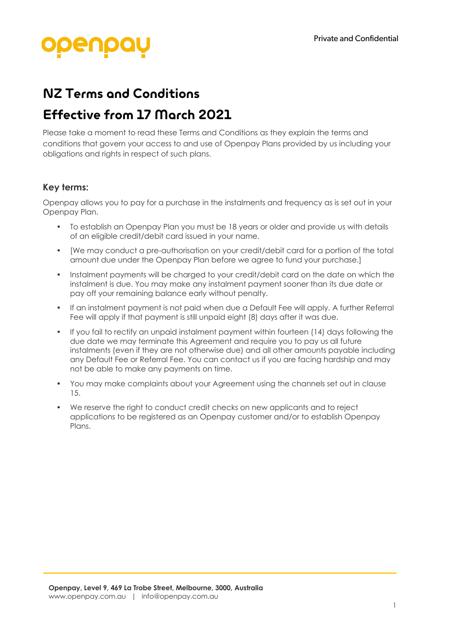# NZ Terms and Conditions

## Effective from 17 March 2021

Please take a moment to read these Terms and Conditions as they explain the terms and conditions that govern your access to and use of Openpay Plans provided by us including your obligations and rights in respect of such plans.

### **Key terms:**

Openpay allows you to pay for a purchase in the instalments and frequency as is set out in your Openpay Plan.

- To establish an Openpay Plan you must be 18 years or older and provide us with details of an eligible credit/debit card issued in your name.
- [We may conduct a pre-authorisation on your credit/debit card for a portion of the total amount due under the Openpay Plan before we agree to fund your purchase.]
- Instalment payments will be charged to your credit/debit card on the date on which the instalment is due. You may make any instalment payment sooner than its due date or pay off your remaining balance early without penalty.
- If an instalment payment is not paid when due a Default Fee will apply. A further Referral Fee will apply if that payment is still unpaid eight (8) days after it was due.
- If you fail to rectify an unpaid instalment payment within fourteen (14) days following the due date we may terminate this Agreement and require you to pay us all future instalments (even if they are not otherwise due) and all other amounts payable including any Default Fee or Referral Fee. You can contact us if you are facing hardship and may not be able to make any payments on time.
- You may make complaints about your Agreement using the channels set out in clause 15.
- We reserve the right to conduct credit checks on new applicants and to reject applications to be registered as an Openpay customer and/or to establish Openpay Plans.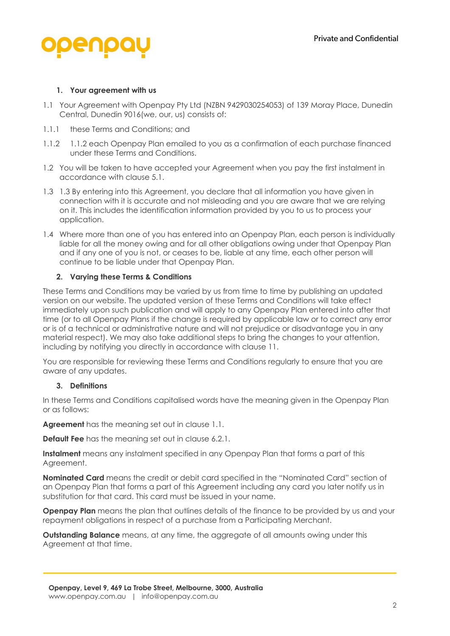

### **1. Your agreement with us**

- 1.1 Your Agreement with Openpay Pty Ltd (NZBN 9429030254053) of 139 Moray Place, Dunedin Central, Dunedin 9016(we, our, us) consists of:
- 1.1.1 these Terms and Conditions; and
- 1.1.2 1.1.2 each Openpay Plan emailed to you as a confirmation of each purchase financed under these Terms and Conditions.
- 1.2 You will be taken to have accepted your Agreement when you pay the first instalment in accordance with clause 5.1.
- 1.3 1.3 By entering into this Agreement, you declare that all information you have given in connection with it is accurate and not misleading and you are aware that we are relying on it. This includes the identification information provided by you to us to process your application.
- 1.4 Where more than one of you has entered into an Openpay Plan, each person is individually liable for all the money owing and for all other obligations owing under that Openpay Plan and if any one of you is not, or ceases to be, liable at any time, each other person will continue to be liable under that Openpay Plan.

#### **2. Varying these Terms & Conditions**

These Terms and Conditions may be varied by us from time to time by publishing an updated version on our website. The updated version of these Terms and Conditions will take effect immediately upon such publication and will apply to any Openpay Plan entered into after that time (or to all Openpay Plans if the change is required by applicable law or to correct any error or is of a technical or administrative nature and will not prejudice or disadvantage you in any material respect). We may also take additional steps to bring the changes to your attention, including by notifying you directly in accordance with clause 11.

You are responsible for reviewing these Terms and Conditions regularly to ensure that you are aware of any updates.

#### **3. Definitions**

In these Terms and Conditions capitalised words have the meaning given in the Openpay Plan or as follows:

**Agreement** has the meaning set out in clause 1.1.

**Default Fee** has the meaning set out in clause 6.2.1.

**Instalment** means any instalment specified in any Openpay Plan that forms a part of this Agreement.

**Nominated Card** means the credit or debit card specified in the "Nominated Card" section of an Openpay Plan that forms a part of this Agreement including any card you later notify us in substitution for that card. This card must be issued in your name.

**Openpay Plan** means the plan that outlines details of the finance to be provided by us and your repayment obligations in respect of a purchase from a Participating Merchant.

**Outstanding Balance** means, at any time, the aggregate of all amounts owing under this Agreement at that time.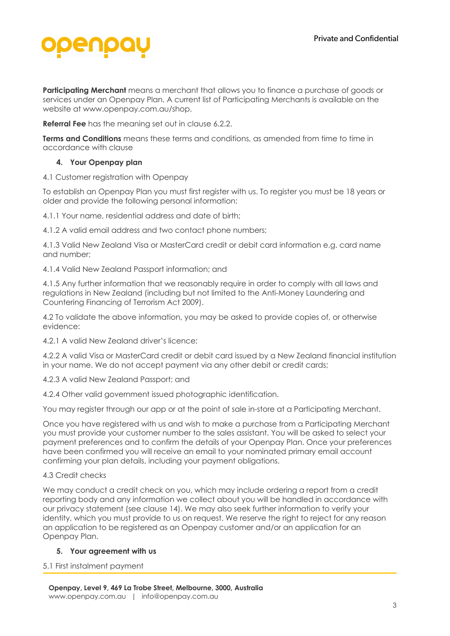

**Participating Merchant** means a merchant that allows you to finance a purchase of goods or services under an Openpay Plan. A current list of Participating Merchants is available on the website at www.openpay.com.au/shop.

**Referral Fee** has the meaning set out in clause 6.2.2.

**Terms and Conditions** means these terms and conditions, as amended from time to time in accordance with clause

#### **4. Your Openpay plan**

4.1 Customer registration with Openpay

To establish an Openpay Plan you must first register with us. To register you must be 18 years or older and provide the following personal information:

4.1.1 Your name, residential address and date of birth;

4.1.2 A valid email address and two contact phone numbers;

4.1.3 Valid New Zealand Visa or MasterCard credit or debit card information e.g. card name and number;

4.1.4 Valid New Zealand Passport information; and

4.1.5 Any further information that we reasonably require in order to comply with all laws and regulations in New Zealand (including but not limited to the Anti-Money Laundering and Countering Financing of Terrorism Act 2009).

4.2 To validate the above information, you may be asked to provide copies of, or otherwise evidence:

4.2.1 A valid New Zealand driver's licence;

4.2.2 A valid Visa or MasterCard credit or debit card issued by a New Zealand financial institution in your name. We do not accept payment via any other debit or credit cards;

4.2.3 A valid New Zealand Passport; and

4.2.4 Other valid government issued photographic identification.

You may register through our app or at the point of sale in-store at a Participating Merchant.

Once you have registered with us and wish to make a purchase from a Participating Merchant you must provide your customer number to the sales assistant. You will be asked to select your payment preferences and to confirm the details of your Openpay Plan. Once your preferences have been confirmed you will receive an email to your nominated primary email account confirming your plan details, including your payment obligations.

#### 4.3 Credit checks

We may conduct a credit check on you, which may include ordering a report from a credit reporting body and any information we collect about you will be handled in accordance with our privacy statement (see clause 14). We may also seek further information to verify your identity, which you must provide to us on request. We reserve the right to reject for any reason an application to be registered as an Openpay customer and/or an application for an Openpay Plan.

#### **5. Your agreement with us**

5.1 First instalment payment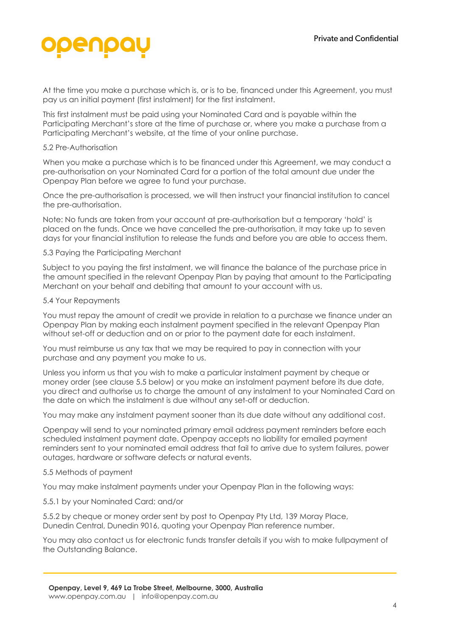

At the time you make a purchase which is, or is to be, financed under this Agreement, you must pay us an initial payment (first instalment) for the first instalment.

This first instalment must be paid using your Nominated Card and is payable within the Participating Merchant's store at the time of purchase or, where you make a purchase from a Participating Merchant's website, at the time of your online purchase.

#### 5.2 Pre-Authorisation

When you make a purchase which is to be financed under this Agreement, we may conduct a pre-authorisation on your Nominated Card for a portion of the total amount due under the Openpay Plan before we agree to fund your purchase.

Once the pre-authorisation is processed, we will then instruct your financial institution to cancel the pre-authorisation.

Note: No funds are taken from your account at pre-authorisation but a temporary 'hold' is placed on the funds. Once we have cancelled the pre-authorisation, it may take up to seven days for your financial institution to release the funds and before you are able to access them.

#### 5.3 Paying the Participating Merchant

Subject to you paying the first instalment, we will finance the balance of the purchase price in the amount specified in the relevant Openpay Plan by paying that amount to the Participating Merchant on your behalf and debiting that amount to your account with us.

#### 5.4 Your Repayments

You must repay the amount of credit we provide in relation to a purchase we finance under an Openpay Plan by making each instalment payment specified in the relevant Openpay Plan without set-off or deduction and on or prior to the payment date for each instalment.

You must reimburse us any tax that we may be required to pay in connection with your purchase and any payment you make to us.

Unless you inform us that you wish to make a particular instalment payment by cheque or money order (see clause 5.5 below) or you make an instalment payment before its due date, you direct and authorise us to charge the amount of any instalment to your Nominated Card on the date on which the instalment is due without any set-off or deduction.

You may make any instalment payment sooner than its due date without any additional cost.

Openpay will send to your nominated primary email address payment reminders before each scheduled instalment payment date. Openpay accepts no liability for emailed payment reminders sent to your nominated email address that fail to arrive due to system failures, power outages, hardware or software defects or natural events.

#### 5.5 Methods of payment

You may make instalment payments under your Openpay Plan in the following ways:

#### 5.5.1 by your Nominated Card; and/or

5.5.2 by cheque or money order sent by post to Openpay Pty Ltd, 139 Moray Place, Dunedin Central, Dunedin 9016, quoting your Openpay Plan reference number.

You may also contact us for electronic funds transfer details if you wish to make fullpayment of the Outstanding Balance.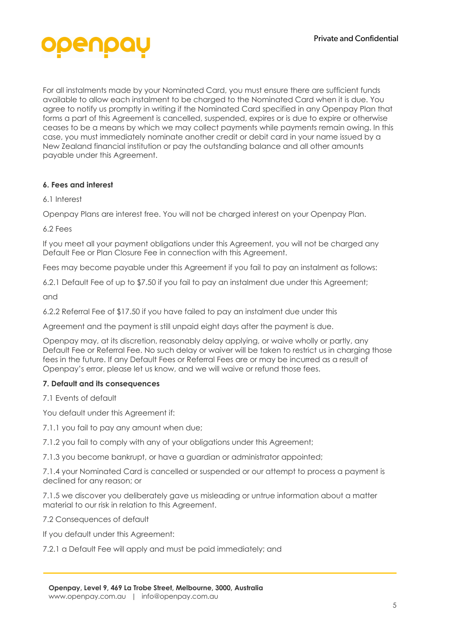

For all instalments made by your Nominated Card, you must ensure there are sufficient funds available to allow each instalment to be charged to the Nominated Card when it is due. You agree to notify us promptly in writing if the Nominated Card specified in any Openpay Plan that forms a part of this Agreement is cancelled, suspended, expires or is due to expire or otherwise ceases to be a means by which we may collect payments while payments remain owing. In this case, you must immediately nominate another credit or debit card in your name issued by a New Zealand financial institution or pay the outstanding balance and all other amounts payable under this Agreement.

#### **6. Fees and interest**

6.1 Interest

Openpay Plans are interest free. You will not be charged interest on your Openpay Plan.

6.2 Fees

If you meet all your payment obligations under this Agreement, you will not be charged any Default Fee or Plan Closure Fee in connection with this Agreement.

Fees may become payable under this Agreement if you fail to pay an instalment as follows:

6.2.1 Default Fee of up to \$7.50 if you fail to pay an instalment due under this Agreement;

and

6.2.2 Referral Fee of \$17.50 if you have failed to pay an instalment due under this

Agreement and the payment is still unpaid eight days after the payment is due.

Openpay may, at its discretion, reasonably delay applying, or waive wholly or partly, any Default Fee or Referral Fee. No such delay or waiver will be taken to restrict us in charging those fees in the future. If any Default Fees or Referral Fees are or may be incurred as a result of Openpay's error, please let us know, and we will waive or refund those fees.

#### **7. Default and its consequences**

7.1 Events of default

You default under this Agreement if:

7.1.1 you fail to pay any amount when due;

7.1.2 you fail to comply with any of your obligations under this Agreement;

7.1.3 you become bankrupt, or have a guardian or administrator appointed;

7.1.4 your Nominated Card is cancelled or suspended or our attempt to process a payment is declined for any reason; or

7.1.5 we discover you deliberately gave us misleading or untrue information about a matter material to our risk in relation to this Agreement.

7.2 Consequences of default

If you default under this Agreement:

7.2.1 a Default Fee will apply and must be paid immediately; and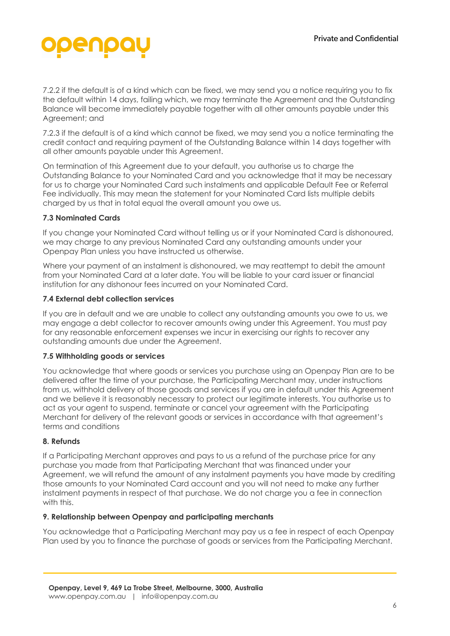

7.2.2 if the default is of a kind which can be fixed, we may send you a notice requiring you to fix the default within 14 days, failing which, we may terminate the Agreement and the Outstanding Balance will become immediately payable together with all other amounts payable under this Agreement; and

7.2.3 if the default is of a kind which cannot be fixed, we may send you a notice terminating the credit contact and requiring payment of the Outstanding Balance within 14 days together with all other amounts payable under this Agreement.

On termination of this Agreement due to your default, you authorise us to charge the Outstanding Balance to your Nominated Card and you acknowledge that it may be necessary for us to charge your Nominated Card such instalments and applicable Default Fee or Referral Fee individually. This may mean the statement for your Nominated Card lists multiple debits charged by us that in total equal the overall amount you owe us.

#### **7.3 Nominated Cards**

If you change your Nominated Card without telling us or if your Nominated Card is dishonoured, we may charge to any previous Nominated Card any outstanding amounts under your Openpay Plan unless you have instructed us otherwise.

Where your payment of an instalment is dishonoured, we may reattempt to debit the amount from your Nominated Card at a later date. You will be liable to your card issuer or financial institution for any dishonour fees incurred on your Nominated Card.

#### **7.4 External debt collection services**

If you are in default and we are unable to collect any outstanding amounts you owe to us, we may engage a debt collector to recover amounts owing under this Agreement. You must pay for any reasonable enforcement expenses we incur in exercising our rights to recover any outstanding amounts due under the Agreement.

#### **7.5 Withholding goods or services**

You acknowledge that where goods or services you purchase using an Openpay Plan are to be delivered after the time of your purchase, the Participating Merchant may, under instructions from us, withhold delivery of those goods and services if you are in default under this Agreement and we believe it is reasonably necessary to protect our legitimate interests. You authorise us to act as your agent to suspend, terminate or cancel your agreement with the Participating Merchant for delivery of the relevant goods or services in accordance with that agreement's terms and conditions

#### **8. Refunds**

If a Participating Merchant approves and pays to us a refund of the purchase price for any purchase you made from that Participating Merchant that was financed under your Agreement, we will refund the amount of any instalment payments you have made by crediting those amounts to your Nominated Card account and you will not need to make any further instalment payments in respect of that purchase. We do not charge you a fee in connection with this.

#### **9. Relationship between Openpay and participating merchants**

You acknowledge that a Participating Merchant may pay us a fee in respect of each Openpay Plan used by you to finance the purchase of goods or services from the Participating Merchant.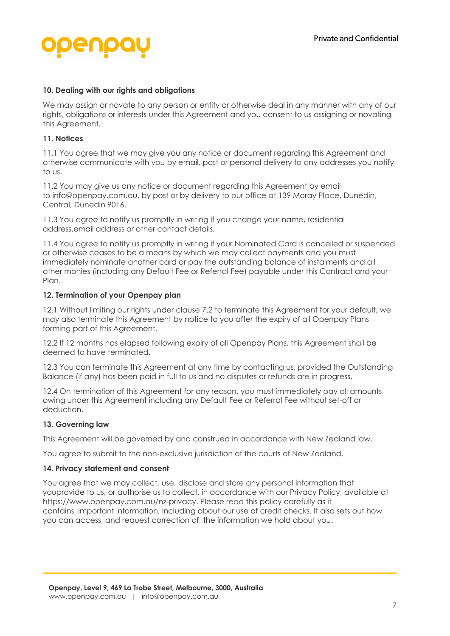#### **10. Dealing with our rights and obligations**

We may assign or novate to any person or entity or otherwise deal in any manner with any of our rights, obligations or interests under this Agreement and you consent to us assigning or novating this Agreement.

#### **11. Notices**

11.1 You agree that we may give you any notice or document regarding this Agreement and otherwise communicate with you by email, post or personal delivery to any addresses you notify to us.

11.2 You may give us any notice or document regarding this Agreement by email to info@openpay.com.au, by post or by delivery to our office at 139 Moray Place, Dunedin, Central, Dunedin 9016.

11.3 You agree to notify us promptly in writing if you change your name, residential address,email address or other contact details.

11.4 You agree to notify us promptly in writing if your Nominated Card is cancelled or suspended or otherwise ceases to be a means by which we may collect payments and you must immediately nominate another card or pay the outstanding balance of instalments and all other monies (including any Default Fee or Referral Fee) payable under this Contract and your Plan

#### **12. Termination of your Openpay plan**

12.1 Without limiting our rights under clause 7.2 to terminate this Agreement for your default, we may also terminate this Agreement by notice to you after the expiry of all Openpay Plans forming part of this Agreement.

12.2 If 12 months has elapsed following expiry of all Openpay Plans, this Agreement shall be deemed to have terminated.

12.3 You can terminate this Agreement at any time by contacting us, provided the Outstanding Balance (if any) has been paid in full to us and no disputes or refunds are in progress.

12.4 On termination of this Agreement for any reason, you must immediately pay all amounts owing under this Agreement including any Default Fee or Referral Fee without set-off or deduction.

#### **13. Governing law**

This Agreement will be governed by and construed in accordance with New Zealand law.

You agree to submit to the non-exclusive jurisdiction of the courts of New Zealand.

#### **14. Privacy statement and consent**

You agree that we may collect, use, disclose and store any personal information that youprovide to us, or authorise us to collect, in accordance with our Privacy Policy, available at https://www.openpay.com.au/nz-privacy. Please read this policy carefully as it contains important information, including about our use of credit checks. It also sets out how you can access, and request correction of, the information we hold about you.